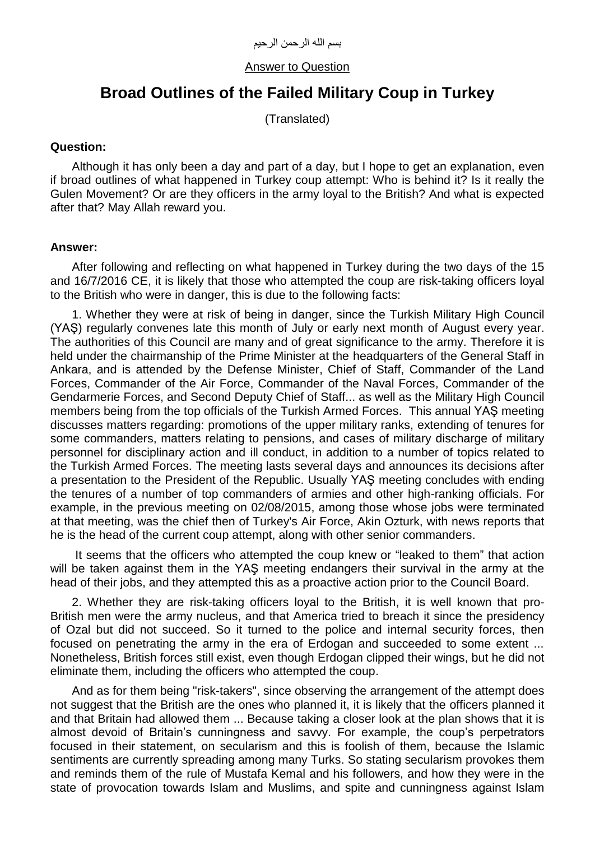## Answer to Question

## **Broad Outlines of the Failed Military Coup in Turkey**

(Translated)

## **Question:**

Although it has only been a day and part of a day, but I hope to get an explanation, even if broad outlines of what happened in Turkey coup attempt: Who is behind it? Is it really the Gulen Movement? Or are they officers in the army loyal to the British? And what is expected after that? May Allah reward you.

## **Answer:**

After following and reflecting on what happened in Turkey during the two days of the 15 and 16/7/2016 CE, it is likely that those who attempted the coup are risk-taking officers loyal to the British who were in danger, this is due to the following facts:

1. Whether they were at risk of being in danger, since the Turkish Military High Council (YAŞ) regularly convenes late this month of July or early next month of August every year. The authorities of this Council are many and of great significance to the army. Therefore it is held under the chairmanship of the Prime Minister at the headquarters of the General Staff in Ankara, and is attended by the Defense Minister, Chief of Staff, Commander of the Land Forces, Commander of the Air Force, Commander of the Naval Forces, Commander of the Gendarmerie Forces, and Second Deputy Chief of Staff... as well as the Military High Council members being from the top officials of the Turkish Armed Forces. This annual YAŞ meeting discusses matters regarding: promotions of the upper military ranks, extending of tenures for some commanders, matters relating to pensions, and cases of military discharge of military personnel for disciplinary action and ill conduct, in addition to a number of topics related to the Turkish Armed Forces. The meeting lasts several days and announces its decisions after a presentation to the President of the Republic. Usually YAŞ meeting concludes with ending the tenures of a number of top commanders of armies and other high-ranking officials. For example, in the previous meeting on 02/08/2015, among those whose jobs were terminated at that meeting, was the chief then of Turkey's Air Force, Akin Ozturk, with news reports that he is the head of the current coup attempt, along with other senior commanders.

It seems that the officers who attempted the coup knew or "leaked to them" that action will be taken against them in the YAŞ meeting endangers their survival in the army at the head of their jobs, and they attempted this as a proactive action prior to the Council Board.

2. Whether they are risk-taking officers loyal to the British, it is well known that pro-British men were the army nucleus, and that America tried to breach it since the presidency of Ozal but did not succeed. So it turned to the police and internal security forces, then focused on penetrating the army in the era of Erdogan and succeeded to some extent ... Nonetheless, British forces still exist, even though Erdogan clipped their wings, but he did not eliminate them, including the officers who attempted the coup.

And as for them being "risk-takers", since observing the arrangement of the attempt does not suggest that the British are the ones who planned it, it is likely that the officers planned it and that Britain had allowed them ... Because taking a closer look at the plan shows that it is almost devoid of Britain's cunningness and savvy. For example, the coup's perpetrators focused in their statement, on secularism and this is foolish of them, because the Islamic sentiments are currently spreading among many Turks. So stating secularism provokes them and reminds them of the rule of Mustafa Kemal and his followers, and how they were in the state of provocation towards Islam and Muslims, and spite and cunningness against Islam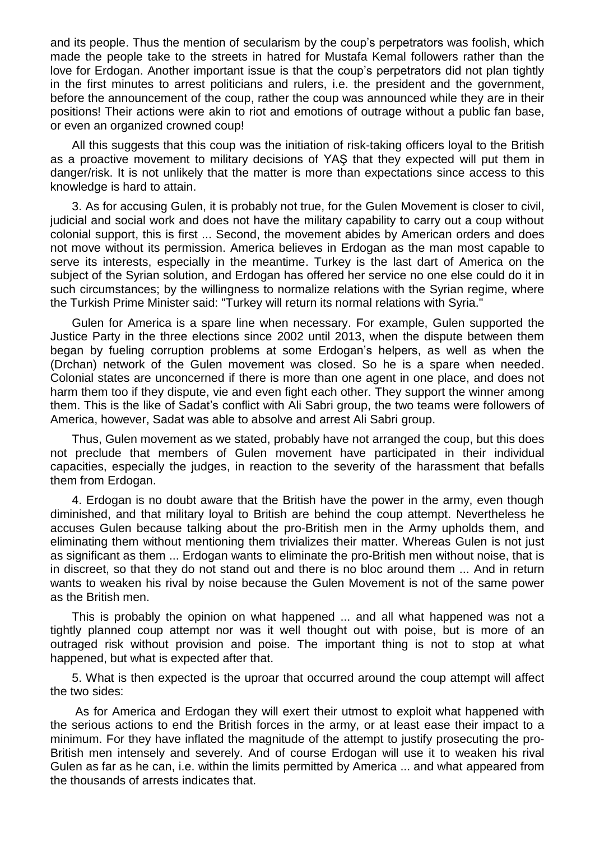and its people. Thus the mention of secularism by the coup's perpetrators was foolish, which made the people take to the streets in hatred for Mustafa Kemal followers rather than the love for Erdogan. Another important issue is that the coup's perpetrators did not plan tightly in the first minutes to arrest politicians and rulers, i.e. the president and the government, before the announcement of the coup, rather the coup was announced while they are in their positions! Their actions were akin to riot and emotions of outrage without a public fan base, or even an organized crowned coup!

All this suggests that this coup was the initiation of risk-taking officers loyal to the British as a proactive movement to military decisions of YAŞ that they expected will put them in danger/risk. It is not unlikely that the matter is more than expectations since access to this knowledge is hard to attain.

3. As for accusing Gulen, it is probably not true, for the Gulen Movement is closer to civil, judicial and social work and does not have the military capability to carry out a coup without colonial support, this is first ... Second, the movement abides by American orders and does not move without its permission. America believes in Erdogan as the man most capable to serve its interests, especially in the meantime. Turkey is the last dart of America on the subject of the Syrian solution, and Erdogan has offered her service no one else could do it in such circumstances; by the willingness to normalize relations with the Syrian regime, where the Turkish Prime Minister said: "Turkey will return its normal relations with Syria."

Gulen for America is a spare line when necessary. For example, Gulen supported the Justice Party in the three elections since 2002 until 2013, when the dispute between them began by fueling corruption problems at some Erdogan's helpers, as well as when the (Drchan) network of the Gulen movement was closed. So he is a spare when needed. Colonial states are unconcerned if there is more than one agent in one place, and does not harm them too if they dispute, vie and even fight each other. They support the winner among them. This is the like of Sadat's conflict with Ali Sabri group, the two teams were followers of America, however, Sadat was able to absolve and arrest Ali Sabri group.

Thus, Gulen movement as we stated, probably have not arranged the coup, but this does not preclude that members of Gulen movement have participated in their individual capacities, especially the judges, in reaction to the severity of the harassment that befalls them from Erdogan.

4. Erdogan is no doubt aware that the British have the power in the army, even though diminished, and that military loyal to British are behind the coup attempt. Nevertheless he accuses Gulen because talking about the pro-British men in the Army upholds them, and eliminating them without mentioning them trivializes their matter. Whereas Gulen is not just as significant as them ... Erdogan wants to eliminate the pro-British men without noise, that is in discreet, so that they do not stand out and there is no bloc around them ... And in return wants to weaken his rival by noise because the Gulen Movement is not of the same power as the British men.

This is probably the opinion on what happened ... and all what happened was not a tightly planned coup attempt nor was it well thought out with poise, but is more of an outraged risk without provision and poise. The important thing is not to stop at what happened, but what is expected after that.

5. What is then expected is the uproar that occurred around the coup attempt will affect the two sides:

As for America and Erdogan they will exert their utmost to exploit what happened with the serious actions to end the British forces in the army, or at least ease their impact to a minimum. For they have inflated the magnitude of the attempt to justify prosecuting the pro-British men intensely and severely. And of course Erdogan will use it to weaken his rival Gulen as far as he can, i.e. within the limits permitted by America ... and what appeared from the thousands of arrests indicates that.